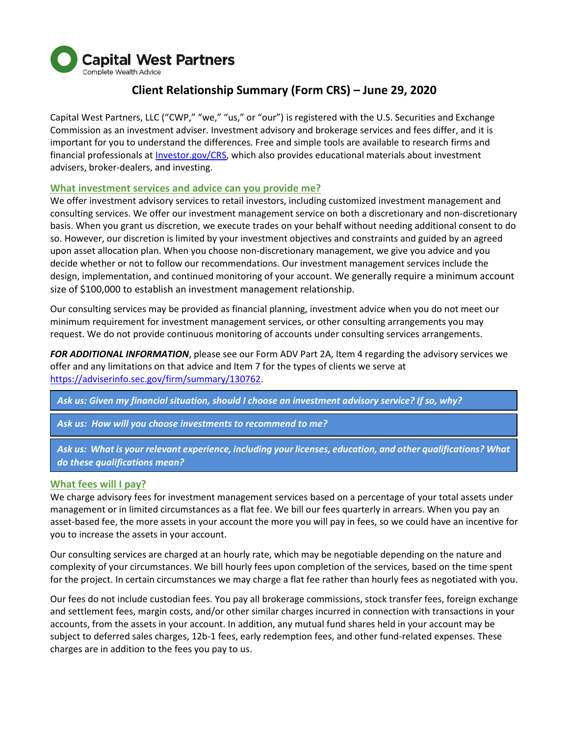

# **Client Relationship Summary (Form CRS) – June 29, 2020**

Capital West Partners, LLC ("CWP," "we," "us," or "our") is registered with the U.S. Securities and Exchange Commission as an investment adviser. Investment advisory and brokerage services and fees differ, and it is important for you to understand the differences. Free and simple tools are available to research firms and financial professionals at *Investor.gov/CRS*, which also provides educational materials about investment advisers, broker-dealers, and investing.

## **What investment services and advice can you provide me?**

We offer investment advisory services to retail investors, including customized investment management and consulting services. We offer our investment management service on both a discretionary and non-discretionary basis. When you grant us discretion, we execute trades on your behalf without needing additional consent to do so. However, our discretion is limited by your investment objectives and constraints and guided by an agreed upon asset allocation plan. When you choose non-discretionary management, we give you advice and you decide whether or not to follow our recommendations. Our investment management services include the design, implementation, and continued monitoring of your account. We generally require a minimum account size of \$100,000 to establish an investment management relationship.

Our consulting services may be provided as financial planning, investment advice when you do not meet our minimum requirement for investment management services, or other consulting arrangements you may request. We do not provide continuous monitoring of accounts under consulting services arrangements.

*FOR ADDITIONAL INFORMATION*, please see our Form ADV Part 2A, Item 4 regarding the advisory services we offer and any limitations on that advice and Item 7 for the types of clients we serve at [https://adviserinfo.sec.gov/firm/summary/130762.](https://adviserinfo.sec.gov/firm/summary/130762)

*Ask us: Given my financial situation, should I choose an investment advisory service? If so, why?*

*Ask us: How will you choose investments to recommend to me?*

*Ask us: What is your relevant experience, including your licenses, education, and other qualifications? What do these qualifications mean?*

## **What fees will I pay?**

We charge advisory fees for investment management services based on a percentage of your total assets under management or in limited circumstances as a flat fee. We bill our fees quarterly in arrears. When you pay an asset-based fee, the more assets in your account the more you will pay in fees, so we could have an incentive for you to increase the assets in your account.

Our consulting services are charged at an hourly rate, which may be negotiable depending on the nature and complexity of your circumstances. We bill hourly fees upon completion of the services, based on the time spent for the project. In certain circumstances we may charge a flat fee rather than hourly fees as negotiated with you.

Our fees do not include custodian fees. You pay all brokerage commissions, stock transfer fees, foreign exchange and settlement fees, margin costs, and/or other similar charges incurred in connection with transactions in your accounts, from the assets in your account. In addition, any mutual fund shares held in your account may be subject to deferred sales charges, 12b-1 fees, early redemption fees, and other fund-related expenses. These charges are in addition to the fees you pay to us.